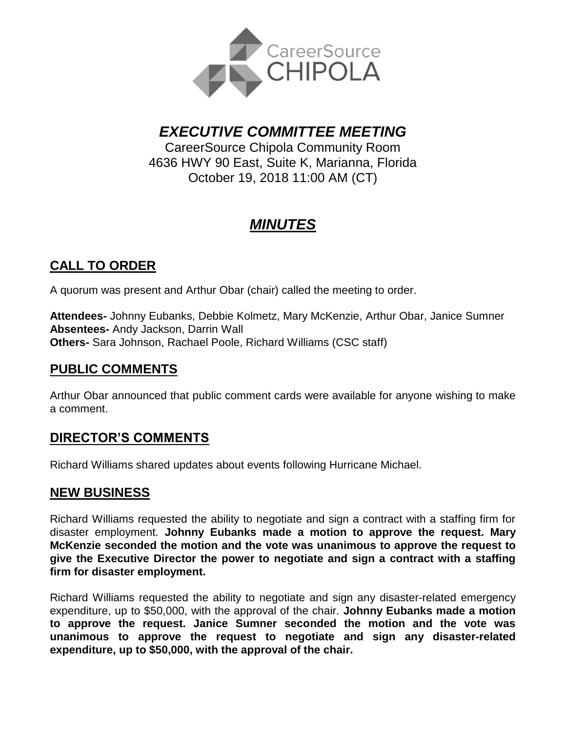

*EXECUTIVE COMMITTEE MEETING*

CareerSource Chipola Community Room 4636 HWY 90 East, Suite K, Marianna, Florida October 19, 2018 11:00 AM (CT)

# *MINUTES*

## **CALL TO ORDER**

A quorum was present and Arthur Obar (chair) called the meeting to order.

**Attendees-** Johnny Eubanks, Debbie Kolmetz, Mary McKenzie, Arthur Obar, Janice Sumner **Absentees-** Andy Jackson, Darrin Wall **Others-** Sara Johnson, Rachael Poole, Richard Williams (CSC staff)

#### **PUBLIC COMMENTS**

Arthur Obar announced that public comment cards were available for anyone wishing to make a comment.

### **DIRECTOR'S COMMENTS**

Richard Williams shared updates about events following Hurricane Michael.

#### **NEW BUSINESS**

Richard Williams requested the ability to negotiate and sign a contract with a staffing firm for disaster employment. **Johnny Eubanks made a motion to approve the request. Mary McKenzie seconded the motion and the vote was unanimous to approve the request to give the Executive Director the power to negotiate and sign a contract with a staffing firm for disaster employment.**

Richard Williams requested the ability to negotiate and sign any disaster-related emergency expenditure, up to \$50,000, with the approval of the chair. **Johnny Eubanks made a motion to approve the request. Janice Sumner seconded the motion and the vote was unanimous to approve the request to negotiate and sign any disaster-related expenditure, up to \$50,000, with the approval of the chair.**